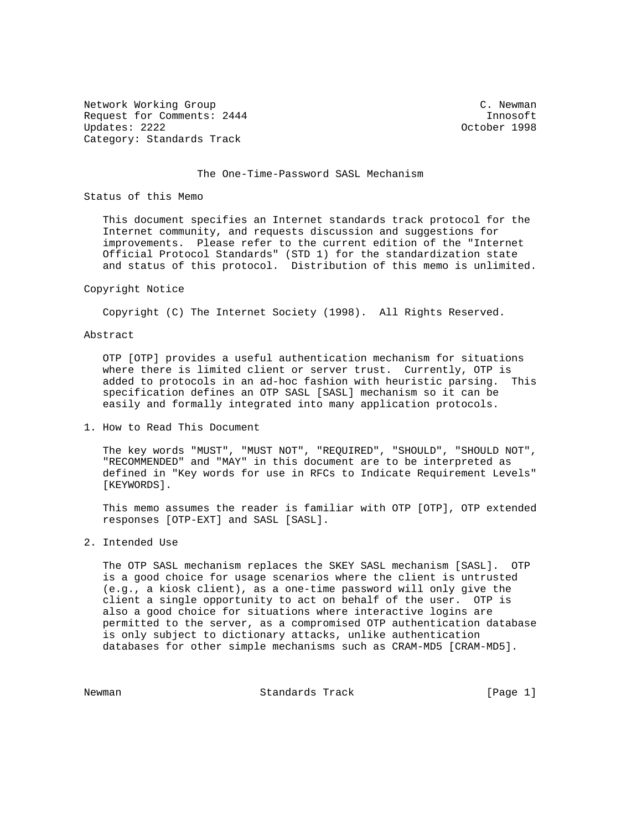Network Working Group C. Newman C. Newman Request for Comments: 2444 Innosoft Updates: 2222 October 1998 Category: Standards Track

#### The One-Time-Password SASL Mechanism

Status of this Memo

 This document specifies an Internet standards track protocol for the Internet community, and requests discussion and suggestions for improvements. Please refer to the current edition of the "Internet Official Protocol Standards" (STD 1) for the standardization state and status of this protocol. Distribution of this memo is unlimited.

### Copyright Notice

Copyright (C) The Internet Society (1998). All Rights Reserved.

## Abstract

 OTP [OTP] provides a useful authentication mechanism for situations where there is limited client or server trust. Currently, OTP is added to protocols in an ad-hoc fashion with heuristic parsing. This specification defines an OTP SASL [SASL] mechanism so it can be easily and formally integrated into many application protocols.

1. How to Read This Document

 The key words "MUST", "MUST NOT", "REQUIRED", "SHOULD", "SHOULD NOT", "RECOMMENDED" and "MAY" in this document are to be interpreted as defined in "Key words for use in RFCs to Indicate Requirement Levels" [KEYWORDS].

 This memo assumes the reader is familiar with OTP [OTP], OTP extended responses [OTP-EXT] and SASL [SASL].

2. Intended Use

 The OTP SASL mechanism replaces the SKEY SASL mechanism [SASL]. OTP is a good choice for usage scenarios where the client is untrusted (e.g., a kiosk client), as a one-time password will only give the client a single opportunity to act on behalf of the user. OTP is also a good choice for situations where interactive logins are permitted to the server, as a compromised OTP authentication database is only subject to dictionary attacks, unlike authentication databases for other simple mechanisms such as CRAM-MD5 [CRAM-MD5].

Newman **Standards Track** [Page 1]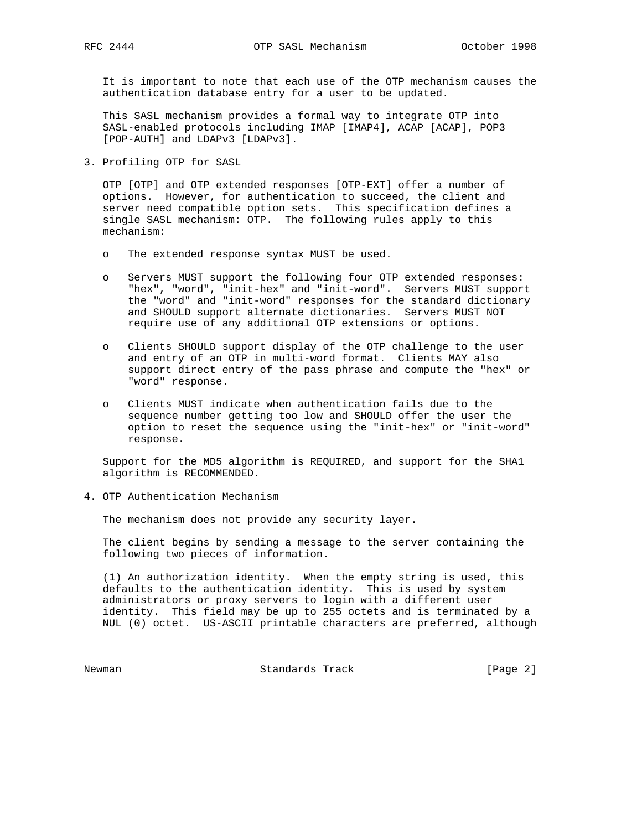It is important to note that each use of the OTP mechanism causes the authentication database entry for a user to be updated.

 This SASL mechanism provides a formal way to integrate OTP into SASL-enabled protocols including IMAP [IMAP4], ACAP [ACAP], POP3 [POP-AUTH] and LDAPv3 [LDAPv3].

3. Profiling OTP for SASL

 OTP [OTP] and OTP extended responses [OTP-EXT] offer a number of options. However, for authentication to succeed, the client and server need compatible option sets. This specification defines a single SASL mechanism: OTP. The following rules apply to this mechanism:

- o The extended response syntax MUST be used.
- o Servers MUST support the following four OTP extended responses: "hex", "word", "init-hex" and "init-word". Servers MUST support the "word" and "init-word" responses for the standard dictionary and SHOULD support alternate dictionaries. Servers MUST NOT require use of any additional OTP extensions or options.
- o Clients SHOULD support display of the OTP challenge to the user and entry of an OTP in multi-word format. Clients MAY also support direct entry of the pass phrase and compute the "hex" or "word" response.
- o Clients MUST indicate when authentication fails due to the sequence number getting too low and SHOULD offer the user the option to reset the sequence using the "init-hex" or "init-word" response.

 Support for the MD5 algorithm is REQUIRED, and support for the SHA1 algorithm is RECOMMENDED.

4. OTP Authentication Mechanism

The mechanism does not provide any security layer.

 The client begins by sending a message to the server containing the following two pieces of information.

 (1) An authorization identity. When the empty string is used, this defaults to the authentication identity. This is used by system administrators or proxy servers to login with a different user identity. This field may be up to 255 octets and is terminated by a NUL (0) octet. US-ASCII printable characters are preferred, although

Newman **Standards Track** [Page 2]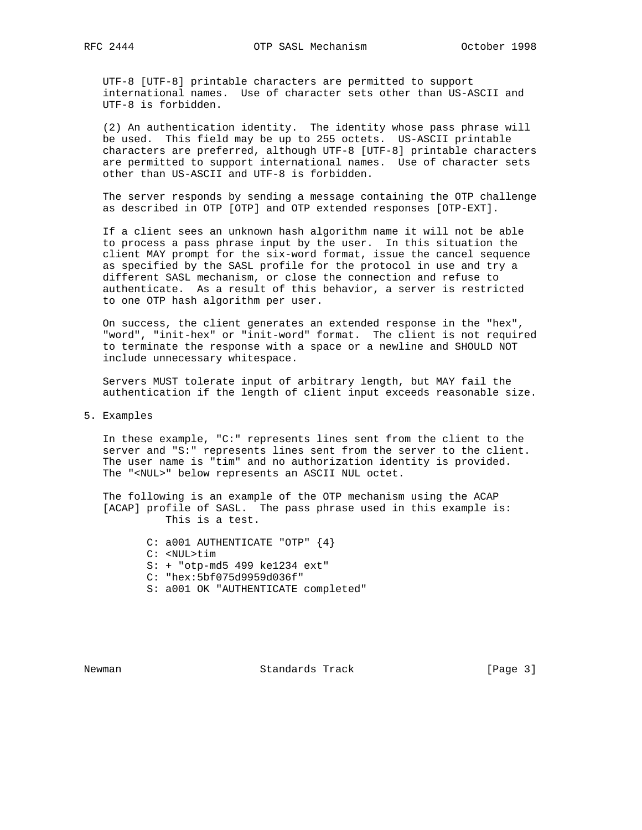UTF-8 [UTF-8] printable characters are permitted to support international names. Use of character sets other than US-ASCII and UTF-8 is forbidden.

 (2) An authentication identity. The identity whose pass phrase will be used. This field may be up to 255 octets. US-ASCII printable characters are preferred, although UTF-8 [UTF-8] printable characters are permitted to support international names. Use of character sets other than US-ASCII and UTF-8 is forbidden.

 The server responds by sending a message containing the OTP challenge as described in OTP [OTP] and OTP extended responses [OTP-EXT].

 If a client sees an unknown hash algorithm name it will not be able to process a pass phrase input by the user. In this situation the client MAY prompt for the six-word format, issue the cancel sequence as specified by the SASL profile for the protocol in use and try a different SASL mechanism, or close the connection and refuse to authenticate. As a result of this behavior, a server is restricted to one OTP hash algorithm per user.

 On success, the client generates an extended response in the "hex", "word", "init-hex" or "init-word" format. The client is not required to terminate the response with a space or a newline and SHOULD NOT include unnecessary whitespace.

 Servers MUST tolerate input of arbitrary length, but MAY fail the authentication if the length of client input exceeds reasonable size.

5. Examples

 In these example, "C:" represents lines sent from the client to the server and "S:" represents lines sent from the server to the client. The user name is "tim" and no authorization identity is provided. The "<NUL>" below represents an ASCII NUL octet.

 The following is an example of the OTP mechanism using the ACAP [ACAP] profile of SASL. The pass phrase used in this example is: This is a test.

> C: a001 AUTHENTICATE "OTP" {4} C: <NUL>tim S: + "otp-md5 499 ke1234 ext" C: "hex:5bf075d9959d036f" S: a001 OK "AUTHENTICATE completed"

Newman **Standards Track** [Page 3]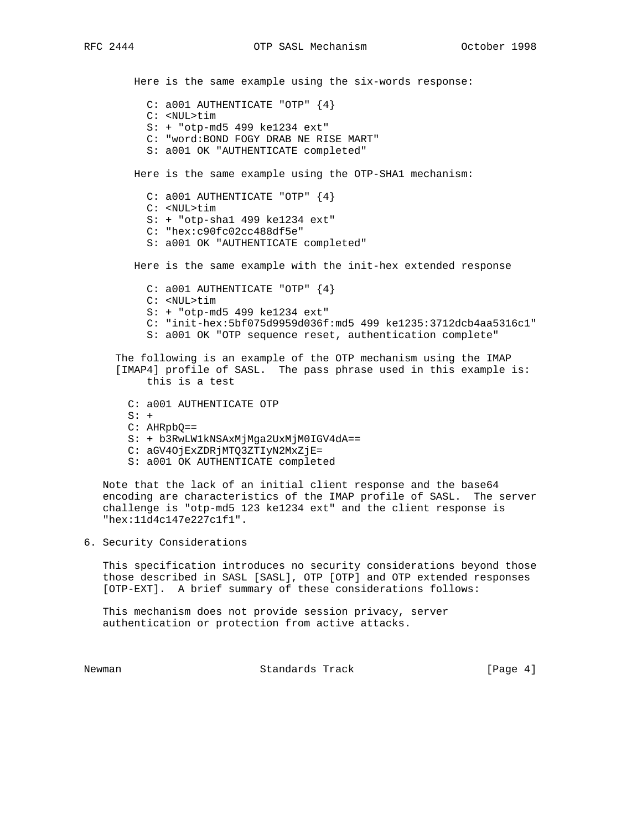Here is the same example using the six-words response: C: a001 AUTHENTICATE "OTP" {4} C: <NUL>tim S: + "otp-md5 499 ke1234 ext" C: "word:BOND FOGY DRAB NE RISE MART" S: a001 OK "AUTHENTICATE completed" Here is the same example using the OTP-SHA1 mechanism: C: a001 AUTHENTICATE "OTP" {4} C: <NUL>tim S: + "otp-sha1 499 ke1234 ext" C: "hex:c90fc02cc488df5e" S: a001 OK "AUTHENTICATE completed" Here is the same example with the init-hex extended response C: a001 AUTHENTICATE "OTP" {4} C: <NUL>tim S: + "otp-md5 499 ke1234 ext" C: "init-hex:5bf075d9959d036f:md5 499 ke1235:3712dcb4aa5316c1" S: a001 OK "OTP sequence reset, authentication complete" The following is an example of the OTP mechanism using the IMAP [IMAP4] profile of SASL. The pass phrase used in this example is: this is a test C: a001 AUTHENTICATE OTP  $S: +$  C: AHRpbQ== S: + b3RwLW1kNSAxMjMga2UxMjM0IGV4dA== C: aGV4OjExZDRjMTQ3ZTIyN2MxZjE=

S: a001 OK AUTHENTICATE completed

 Note that the lack of an initial client response and the base64 encoding are characteristics of the IMAP profile of SASL. The server challenge is "otp-md5 123 ke1234 ext" and the client response is "hex:11d4c147e227c1f1".

6. Security Considerations

 This specification introduces no security considerations beyond those those described in SASL [SASL], OTP [OTP] and OTP extended responses [OTP-EXT]. A brief summary of these considerations follows:

 This mechanism does not provide session privacy, server authentication or protection from active attacks.

Newman **Standards Track Example 1** [Page 4]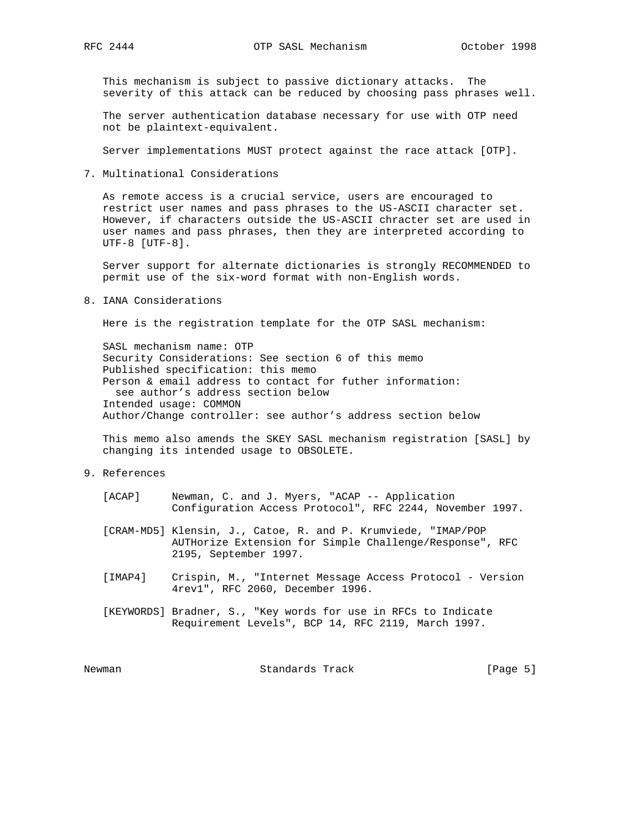This mechanism is subject to passive dictionary attacks. The severity of this attack can be reduced by choosing pass phrases well.

 The server authentication database necessary for use with OTP need not be plaintext-equivalent.

Server implementations MUST protect against the race attack [OTP].

7. Multinational Considerations

 As remote access is a crucial service, users are encouraged to restrict user names and pass phrases to the US-ASCII character set. However, if characters outside the US-ASCII chracter set are used in user names and pass phrases, then they are interpreted according to UTF-8 [UTF-8].

 Server support for alternate dictionaries is strongly RECOMMENDED to permit use of the six-word format with non-English words.

8. IANA Considerations

Here is the registration template for the OTP SASL mechanism:

 SASL mechanism name: OTP Security Considerations: See section 6 of this memo Published specification: this memo Person & email address to contact for futher information: see author's address section below Intended usage: COMMON Author/Change controller: see author's address section below

 This memo also amends the SKEY SASL mechanism registration [SASL] by changing its intended usage to OBSOLETE.

- 9. References
	- [ACAP] Newman, C. and J. Myers, "ACAP -- Application Configuration Access Protocol", RFC 2244, November 1997.
	- [CRAM-MD5] Klensin, J., Catoe, R. and P. Krumviede, "IMAP/POP AUTHorize Extension for Simple Challenge/Response", RFC 2195, September 1997.
	- [IMAP4] Crispin, M., "Internet Message Access Protocol Version 4rev1", RFC 2060, December 1996.
	- [KEYWORDS] Bradner, S., "Key words for use in RFCs to Indicate Requirement Levels", BCP 14, RFC 2119, March 1997.

Newman **Standards Track** [Page 5]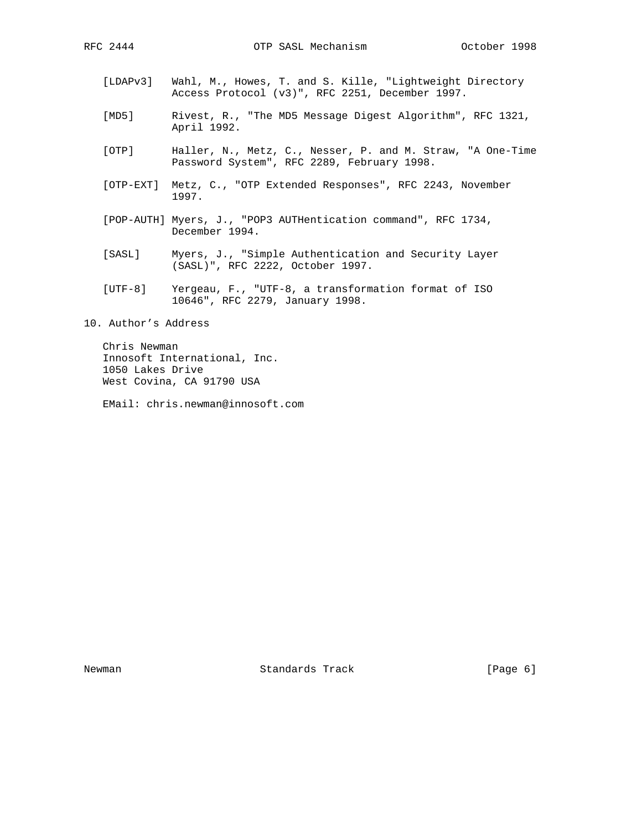- [LDAPv3] Wahl, M., Howes, T. and S. Kille, "Lightweight Directory Access Protocol (v3)", RFC 2251, December 1997.
- [MD5] Rivest, R., "The MD5 Message Digest Algorithm", RFC 1321, April 1992.
- [OTP] Haller, N., Metz, C., Nesser, P. and M. Straw, "A One-Time Password System", RFC 2289, February 1998.
- [OTP-EXT] Metz, C., "OTP Extended Responses", RFC 2243, November 1997.
- [POP-AUTH] Myers, J., "POP3 AUTHentication command", RFC 1734, December 1994.
- [SASL] Myers, J., "Simple Authentication and Security Layer (SASL)", RFC 2222, October 1997.
- [UTF-8] Yergeau, F., "UTF-8, a transformation format of ISO 10646", RFC 2279, January 1998.

10. Author's Address

 Chris Newman Innosoft International, Inc. 1050 Lakes Drive West Covina, CA 91790 USA

EMail: chris.newman@innosoft.com

Newman **Standards Track** [Page 6]